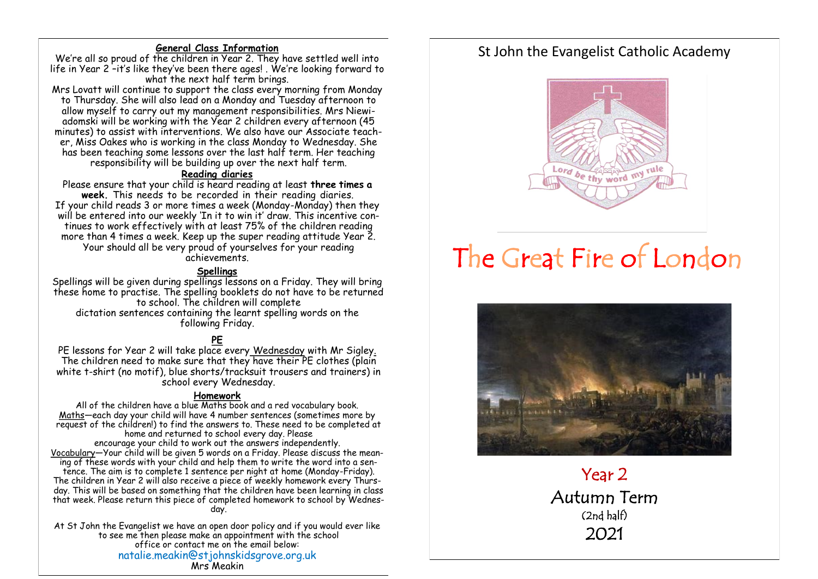#### **General Class Information**

We're all so proud of the children in Year 2. They have settled well into life in Year 2 –it's like they've been there ages! . We're looking forward to what the next half term brings.

Mrs Lovatt will continue to support the class every morning from Monday to Thursday. She will also lead on a Monday and Tuesday afternoon to allow myself to carry out my management responsibilities. Mrs Niewiadomski will be working with the Year 2 children every afternoon (45 minutes) to assist with interventions. We also have our Associate teacher, Miss Oakes who is working in the class Monday to Wednesday. She has been teaching some lessons over the last half term. Her teaching responsibility will be building up over the next half term.

#### **Reading diaries**

Please ensure that your child is heard reading at least **three times a week.** This needs to be recorded in their reading diaries. If your child reads 3 or more times a week (Monday-Monday) then they will be entered into our weekly 'In it to win it' draw. This incentive continues to work effectively with at least 75% of the children reading more than 4 times a week. Keep up the super reading attitude Year 2. Your should all be very proud of yourselves for your reading achievements.

#### **Spellings**

Spellings will be given during spellings lessons on a Friday. They will bring these home to practise. The spelling booklets do not have to be returned to school. The children will complete dictation sentences containing the learnt spelling words on the following Friday.

# **PE**

PE lessons for Year 2 will take place every Wednesday with Mr Sigley. The children need to make sure that they have their PE clothes (plain white t-shirt (no motif), blue shorts/tracksuit trousers and trainers) in school every Wednesday.

#### **Homework**

All of the children have a blue Maths book and a red vocabulary book. Maths—each day your child will have 4 number sentences (sometimes more by request of the children!) to find the answers to. These need to be completed at home and returned to school every day. Please encourage your child to work out the answers independently. Vocabulary—Your child will be given 5 words on a Friday. Please discuss the meaning of these words with your child and help them to write the word into a sentence. The aim is to complete 1 sentence per night at home (Monday-Friday). The children in Year 2 will also receive a piece of weekly homework every Thursday. This will be based on something that the children have been learning in class that week. Please return this piece of completed homework to school by Wednesday.

At St John the Evangelist we have an open door policy and if you would ever like to see me then please make an appointment with the school office or contact me on the email below: natalie.meakin@stjohnskidsgrove.org.uk Mrs Meakin

# St John the Evangelist Catholic Academy



# The Great Fire of London



Year 2 Autumn Term (2nd half) 2021

 $\ddot{\phantom{a}}$